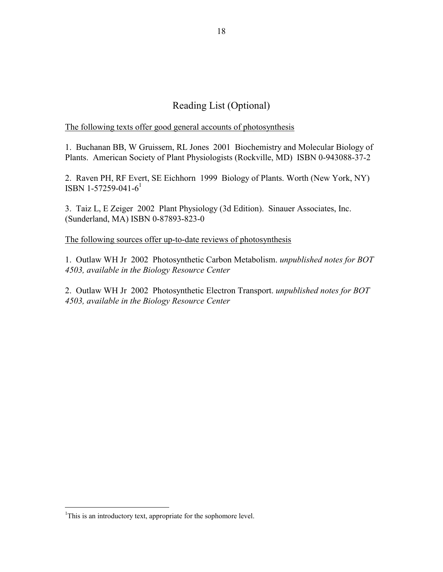## Reading List (Optional)

The following texts offer good general accounts of photosynthesis

1. Buchanan BB, W Gruissem, RL Jones 2001 Biochemistry and Molecular Biology of Plants. American Society of Plant Physiologists (Rockville, MD) ISBN 0-943088-37-2

2. Raven PH, RF Evert, SE Eichhorn 1999 Biology of Plants. Worth (New York, NY) ISBN [1](#page-0-0)-57259-041-6<sup>1</sup>

3. Taiz L, E Zeiger 2002 Plant Physiology (3d Edition). Sinauer Associates, Inc. (Sunderland, MA) ISBN 0-87893-823-0

The following sources offer up-to-date reviews of photosynthesis

1. Outlaw WH Jr 2002 Photosynthetic Carbon Metabolism. *unpublished notes for BOT 4503, available in the Biology Resource Center*

2. Outlaw WH Jr 2002 Photosynthetic Electron Transport. *unpublished notes for BOT 4503, available in the Biology Resource Center*

 $\overline{a}$ 

<span id="page-0-0"></span><sup>&</sup>lt;sup>1</sup>This is an introductory text, appropriate for the sophomore level.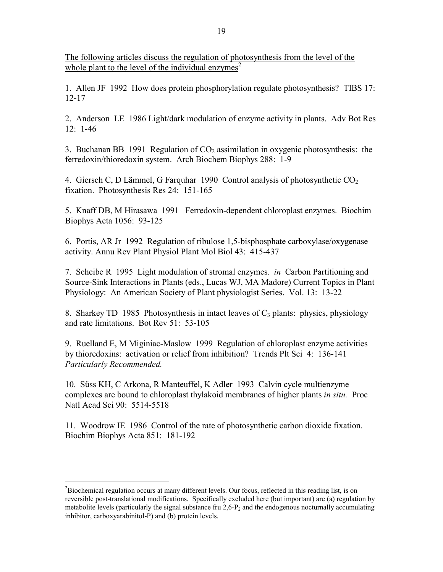The following articles discuss the regulation of photosynthesis from the level of the whole plant to the level of the individual enzymes<sup>[2](#page-1-0)</sup>

1. Allen JF 1992 How does protein phosphorylation regulate photosynthesis? TIBS 17: 12-17

2. Anderson LE 1986 Light/dark modulation of enzyme activity in plants. Adv Bot Res 12: 1-46

3. Buchanan BB 1991 Regulation of  $CO<sub>2</sub>$  assimilation in oxygenic photosynthesis: the ferredoxin/thioredoxin system. Arch Biochem Biophys 288: 1-9

4. Giersch C, D Lämmel, G Farquhar 1990 Control analysis of photosynthetic  $CO<sub>2</sub>$ fixation. Photosynthesis Res 24: 151-165

5. Knaff DB, M Hirasawa 1991 Ferredoxin-dependent chloroplast enzymes. Biochim Biophys Acta 1056: 93-125

6. Portis, AR Jr 1992 Regulation of ribulose 1,5-bisphosphate carboxylase/oxygenase activity. Annu Rev Plant Physiol Plant Mol Biol 43: 415-437

7. Scheibe R 1995 Light modulation of stromal enzymes. *in* Carbon Partitioning and Source-Sink Interactions in Plants (eds., Lucas WJ, MA Madore) Current Topics in Plant Physiology: An American Society of Plant physiologist Series. Vol. 13: 13-22

8. Sharkey TD 1985 Photosynthesis in intact leaves of  $C_3$  plants: physics, physiology and rate limitations. Bot Rev 51: 53-105

9. Ruelland E, M Miginiac-Maslow 1999 Regulation of chloroplast enzyme activities by thioredoxins: activation or relief from inhibition? Trends Plt Sci 4: 136-141 *Particularly Recommended.* 

10. Süss KH, C Arkona, R Manteuffel, K Adler 1993 Calvin cycle multienzyme complexes are bound to chloroplast thylakoid membranes of higher plants *in situ.* Proc Natl Acad Sci 90: 5514-5518

11. Woodrow IE 1986 Control of the rate of photosynthetic carbon dioxide fixation. Biochim Biophys Acta 851: 181-192

<u>.</u>

<span id="page-1-0"></span> $2^2$ Biochemical regulation occurs at many different levels. Our focus, reflected in this reading list, is on reversible post-translational modifications. Specifically excluded here (but important) are (a) regulation by metabolite levels (particularly the signal substance fru  $2.6$ -P<sub>2</sub> and the endogenous nocturnally accumulating inhibitor, carboxyarabinitol-P) and (b) protein levels.